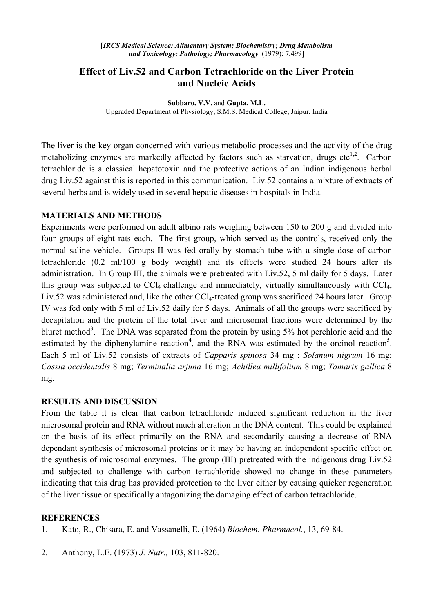## **Effect of Liv.52 and Carbon Tetrachloride on the Liver Protein and Nucleic Acids**

**Subbaro, V.V.** and **Gupta, M.L.** Upgraded Department of Physiology, S.M.S. Medical College, Jaipur, India

The liver is the key organ concerned with various metabolic processes and the activity of the drug metabolizing enzymes are markedly affected by factors such as starvation, drugs etc<sup>1,2</sup>. Carbon tetrachloride is a classical hepatotoxin and the protective actions of an Indian indigenous herbal drug Liv.52 against this is reported in this communication. Liv.52 contains a mixture of extracts of several herbs and is widely used in several hepatic diseases in hospitals in India.

## **MATERIALS AND METHODS**

Experiments were performed on adult albino rats weighing between 150 to 200 g and divided into four groups of eight rats each. The first group, which served as the controls, received only the normal saline vehicle. Groups II was fed orally by stomach tube with a single dose of carbon tetrachloride (0.2 ml/100 g body weight) and its effects were studied 24 hours after its administration. In Group III, the animals were pretreated with Liv.52, 5 ml daily for 5 days. Later this group was subjected to  $CCl_4$  challenge and immediately, virtually simultaneously with  $CCl_4$ , Liv.52 was administered and, like the other CCl<sub>4</sub>-treated group was sacrificed 24 hours later. Group IV was fed only with 5 ml of Liv.52 daily for 5 days. Animals of all the groups were sacrificed by decapitation and the protein of the total liver and microsomal fractions were determined by the bluret method<sup>3</sup>. The DNA was separated from the protein by using 5% hot perchloric acid and the estimated by the diphenylamine reaction<sup>4</sup>, and the RNA was estimated by the orcinol reaction<sup>5</sup>. Each 5 ml of Liv.52 consists of extracts of *Capparis spinosa* 34 mg ; *Solanum nigrum* 16 mg; *Cassia occidentalis* 8 mg; *Terminalia arjuna* 16 mg; *Achillea millifolium* 8 mg; *Tamarix gallica* 8 mg.

## **RESULTS AND DISCUSSION**

From the table it is clear that carbon tetrachloride induced significant reduction in the liver microsomal protein and RNA without much alteration in the DNA content. This could be explained on the basis of its effect primarily on the RNA and secondarily causing a decrease of RNA dependant synthesis of microsomal proteins or it may be having an independent specific effect on the synthesis of microsomal enzymes. The group (III) pretreated with the indigenous drug Liv.52 and subjected to challenge with carbon tetrachloride showed no change in these parameters indicating that this drug has provided protection to the liver either by causing quicker regeneration of the liver tissue or specifically antagonizing the damaging effect of carbon tetrachloride.

## **REFERENCES**

- 1. Kato, R., Chisara, E. and Vassanelli, E. (1964) *Biochem. Pharmacol.*, 13, 69-84.
- 2. Anthony, L.E. (1973) *J. Nutr.,* 103, 811-820.